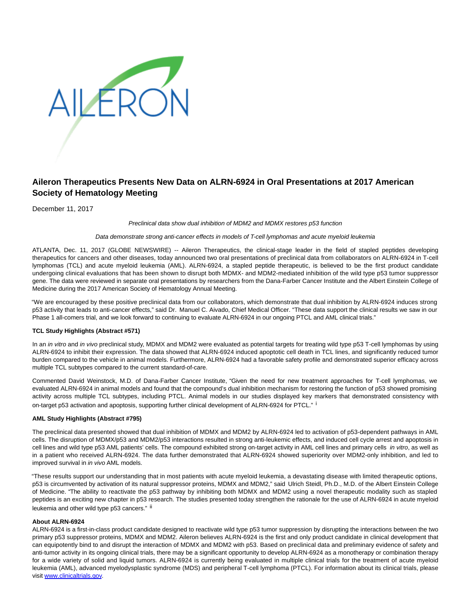

# **Aileron Therapeutics Presents New Data on ALRN-6924 in Oral Presentations at 2017 American Society of Hematology Meeting**

December 11, 2017

### Preclinical data show dual inhibition of MDM2 and MDMX restores p53 function

## Data demonstrate strong anti-cancer effects in models of T-cell lymphomas and acute myeloid leukemia

ATLANTA, Dec. 11, 2017 (GLOBE NEWSWIRE) -- Aileron Therapeutics, the clinical-stage leader in the field of stapled peptides developing therapeutics for cancers and other diseases, today announced two oral presentations of preclinical data from collaborators on ALRN-6924 in T-cell lymphomas (TCL) and acute myeloid leukemia (AML). ALRN-6924, a stapled peptide therapeutic, is believed to be the first product candidate undergoing clinical evaluations that has been shown to disrupt both MDMX- and MDM2-mediated inhibition of the wild type p53 tumor suppressor gene. The data were reviewed in separate oral presentations by researchers from the Dana-Farber Cancer Institute and the Albert Einstein College of Medicine during the 2017 American Society of Hematology Annual Meeting.

"We are encouraged by these positive preclinical data from our collaborators, which demonstrate that dual inhibition by ALRN-6924 induces strong p53 activity that leads to anti-cancer effects," said Dr. Manuel C. Aivado, Chief Medical Officer. "These data support the clinical results we saw in our Phase 1 all-comers trial, and we look forward to continuing to evaluate ALRN-6924 in our ongoing PTCL and AML clinical trials."

# **TCL Study Highlights (Abstract #571)**

In an in vitro and in vivo preclinical study, MDMX and MDM2 were evaluated as potential targets for treating wild type p53 T-cell lymphomas by using ALRN-6924 to inhibit their expression. The data showed that ALRN-6924 induced apoptotic cell death in TCL lines, and significantly reduced tumor burden compared to the vehicle in animal models. Furthermore, ALRN-6924 had a favorable safety profile and demonstrated superior efficacy across multiple TCL subtypes compared to the current standard-of-care.

Commented David Weinstock, M.D. of Dana-Farber Cancer Institute, "Given the need for new treatment approaches for T-cell lymphomas, we evaluated ALRN-6924 in animal models and found that the compound's dual inhibition mechanism for restoring the function of p53 showed promising activity across multiple TCL subtypes, including PTCL. Animal models in our studies displayed key markers that demonstrated consistency with on-target p53 activation and apoptosis, supporting further clinical development of ALRN-6924 for PTCL." i

# **AML Study Highlights (Abstract #795)**

The preclinical data presented showed that dual inhibition of MDMX and MDM2 by ALRN-6924 led to activation of p53-dependent pathways in AML cells. The disruption of MDMX/p53 and MDM2/p53 interactions resulted in strong anti-leukemic effects, and induced cell cycle arrest and apoptosis in cell lines and wild type p53 AML patients' cells. The compound exhibited strong on-target activity in AML cell lines and primary cells in vitro, as well as in a patient who received ALRN-6924. The data further demonstrated that ALRN-6924 showed superiority over MDM2-only inhibition, and led to improved survival in *in vivo* AML models.

"These results support our understanding that in most patients with acute myeloid leukemia, a devastating disease with limited therapeutic options, p53 is circumvented by activation of its natural suppressor proteins, MDMX and MDM2," said Ulrich Steidl, Ph.D., M.D. of the Albert Einstein College of Medicine. "The ability to reactivate the p53 pathway by inhibiting both MDMX and MDM2 using a novel therapeutic modality such as stapled peptides is an exciting new chapter in p53 research. The studies presented today strengthen the rationale for the use of ALRN-6924 in acute myeloid leukemia and other wild type p53 cancers." ii

# **About ALRN-6924**

ALRN-6924 is a first-in-class product candidate designed to reactivate wild type p53 tumor suppression by disrupting the interactions between the two primary p53 suppressor proteins, MDMX and MDM2. Aileron believes ALRN-6924 is the first and only product candidate in clinical development that can equipotently bind to and disrupt the interaction of MDMX and MDM2 with p53. Based on preclinical data and preliminary evidence of safety and anti-tumor activity in its ongoing clinical trials, there may be a significant opportunity to develop ALRN-6924 as a monotherapy or combination therapy for a wide variety of solid and liquid tumors. ALRN-6924 is currently being evaluated in multiple clinical trials for the treatment of acute myeloid leukemia (AML), advanced myelodysplastic syndrome (MDS) and peripheral T-cell lymphoma (PTCL). For information about its clinical trials, please visit [www.clinicaltrials.gov.](https://www.globenewswire.com/Tracker?data=lwAO-mJa-E7IkgcEr66jAowD6E7f3AnSuURx--k2r8JoN2G0jCjAe9X6zjhI9ac99fcbfR5lEqOJ6cE4hlpi44tRWNwpVfrzyd3HS5dJTN8=)